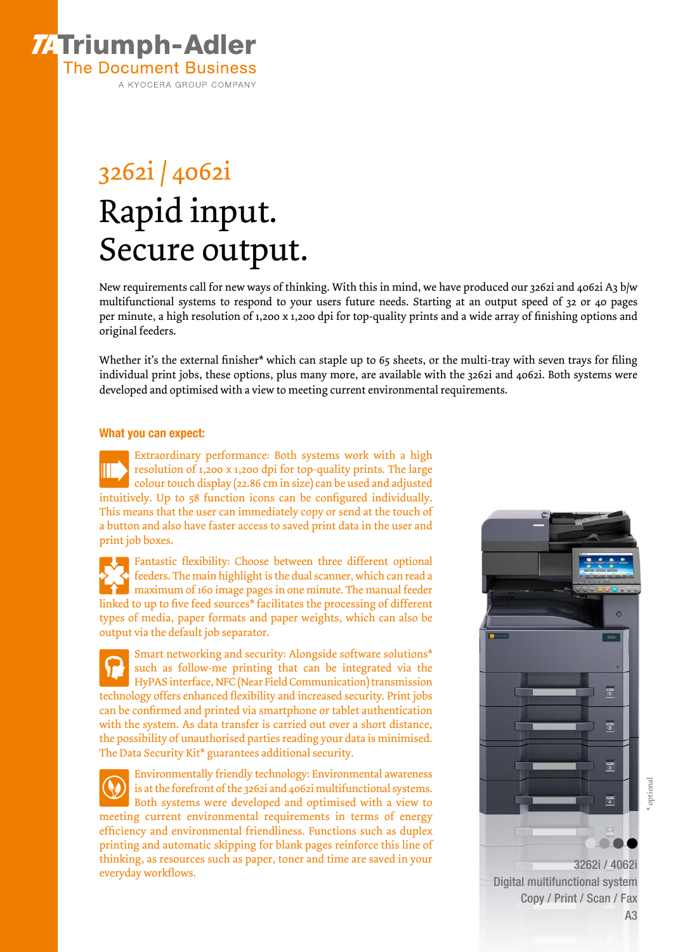

# 3262i / 4062i Rapid input. Secure output.

New requirements call for new ways of thinking. With this in mind, we have produced our 3262i and 4062i A3 b/w multifunctional systems to respond to your users future needs. Starting at an output speed of 32 or 40 pages per minute, a high resolution of 1,200 x 1,200 dpi for top-quality prints and a wide array of finishing options and original feeders.

Whether it's the external finisher\* which can staple up to 65 sheets, or the multi-tray with seven trays for filing individual print jobs, these options, plus many more, are available with the 3262i and 4062i. Both systems were developed and optimised with a view to meeting current environmental requirements.

#### What you can expect:

Extraordinary performance: Both systems work with a high resolution of 1,200 x 1,200 dpi for top-quality prints. The large colour touch display (22.86 cm in size) can be used and adjusted intuitively. Up to 58 function icons can be configured individually. This means that the user can immediately copy or send at the touch of a button and also have faster access to saved print data in the user and print job boxes.

Fantastic flexibility: Choose between three different optional feeders. The main highlight is the dual scanner, which can read a maximum of 160 image pages in one minute. The manual feeder linked to up to five feed sources\* facilitates the processing of different types of media, paper formats and paper weights, which can also be output via the default job separator.

Smart networking and security: Alongside software solutions\* such as follow-me printing that can be integrated via the HyPAS interface, NFC (Near Field Communication) transmission technology offers enhanced flexibility and increased security. Print jobs can be confirmed and printed via smartphone or tablet authentication with the system. As data transfer is carried out over a short distance, the possibility of unauthorised parties reading your data is minimised. The Data Security Kit\* guarantees additional security.

Environmentally friendly technology: Environmental awareness is at the forefront of the 3262i and 4062i multifunctional systems. Both systems were developed and optimised with a view to meeting current environmental requirements in terms of energy efficiency and environmental friendliness. Functions such as duplex printing and automatic skipping for blank pages reinforce this line of thinking, as resources such as paper, toner and time are saved in your everyday workflows.



Digital multifunctional system Copy / Print / Scan / Fax A3 \* optional